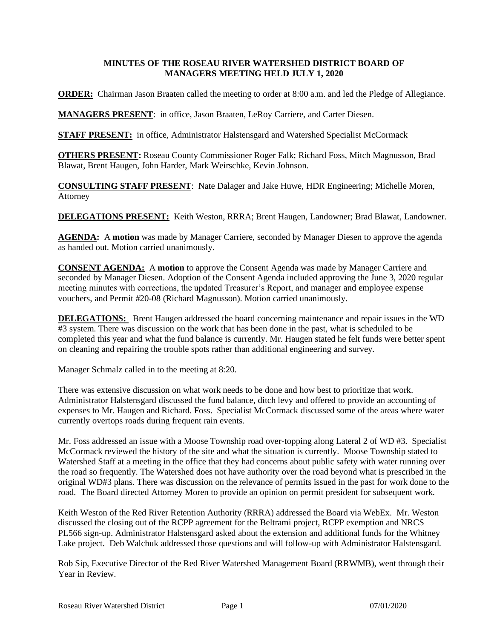## **MINUTES OF THE ROSEAU RIVER WATERSHED DISTRICT BOARD OF MANAGERS MEETING HELD JULY 1, 2020**

**ORDER:** Chairman Jason Braaten called the meeting to order at 8:00 a.m. and led the Pledge of Allegiance.

**MANAGERS PRESENT**: in office, Jason Braaten, LeRoy Carriere, and Carter Diesen.

**STAFF PRESENT:** in office, Administrator Halstensgard and Watershed Specialist McCormack

**OTHERS PRESENT:** Roseau County Commissioner Roger Falk; Richard Foss, Mitch Magnusson, Brad Blawat, Brent Haugen, John Harder, Mark Weirschke, Kevin Johnson.

**CONSULTING STAFF PRESENT**: Nate Dalager and Jake Huwe, HDR Engineering; Michelle Moren, Attorney

**DELEGATIONS PRESENT:** Keith Weston, RRRA; Brent Haugen, Landowner; Brad Blawat, Landowner.

**AGENDA:** A **motion** was made by Manager Carriere, seconded by Manager Diesen to approve the agenda as handed out. Motion carried unanimously.

**CONSENT AGENDA:** A **motion** to approve the Consent Agenda was made by Manager Carriere and seconded by Manager Diesen. Adoption of the Consent Agenda included approving the June 3, 2020 regular meeting minutes with corrections, the updated Treasurer's Report, and manager and employee expense vouchers, and Permit #20-08 (Richard Magnusson). Motion carried unanimously.

**DELEGATIONS:** Brent Haugen addressed the board concerning maintenance and repair issues in the WD #3 system. There was discussion on the work that has been done in the past, what is scheduled to be completed this year and what the fund balance is currently. Mr. Haugen stated he felt funds were better spent on cleaning and repairing the trouble spots rather than additional engineering and survey.

Manager Schmalz called in to the meeting at 8:20.

There was extensive discussion on what work needs to be done and how best to prioritize that work. Administrator Halstensgard discussed the fund balance, ditch levy and offered to provide an accounting of expenses to Mr. Haugen and Richard. Foss. Specialist McCormack discussed some of the areas where water currently overtops roads during frequent rain events.

Mr. Foss addressed an issue with a Moose Township road over-topping along Lateral 2 of WD #3. Specialist McCormack reviewed the history of the site and what the situation is currently. Moose Township stated to Watershed Staff at a meeting in the office that they had concerns about public safety with water running over the road so frequently. The Watershed does not have authority over the road beyond what is prescribed in the original WD#3 plans. There was discussion on the relevance of permits issued in the past for work done to the road. The Board directed Attorney Moren to provide an opinion on permit president for subsequent work.

Keith Weston of the Red River Retention Authority (RRRA) addressed the Board via WebEx. Mr. Weston discussed the closing out of the RCPP agreement for the Beltrami project, RCPP exemption and NRCS PL566 sign-up. Administrator Halstensgard asked about the extension and additional funds for the Whitney Lake project. Deb Walchuk addressed those questions and will follow-up with Administrator Halstensgard.

Rob Sip, Executive Director of the Red River Watershed Management Board (RRWMB), went through their Year in Review.